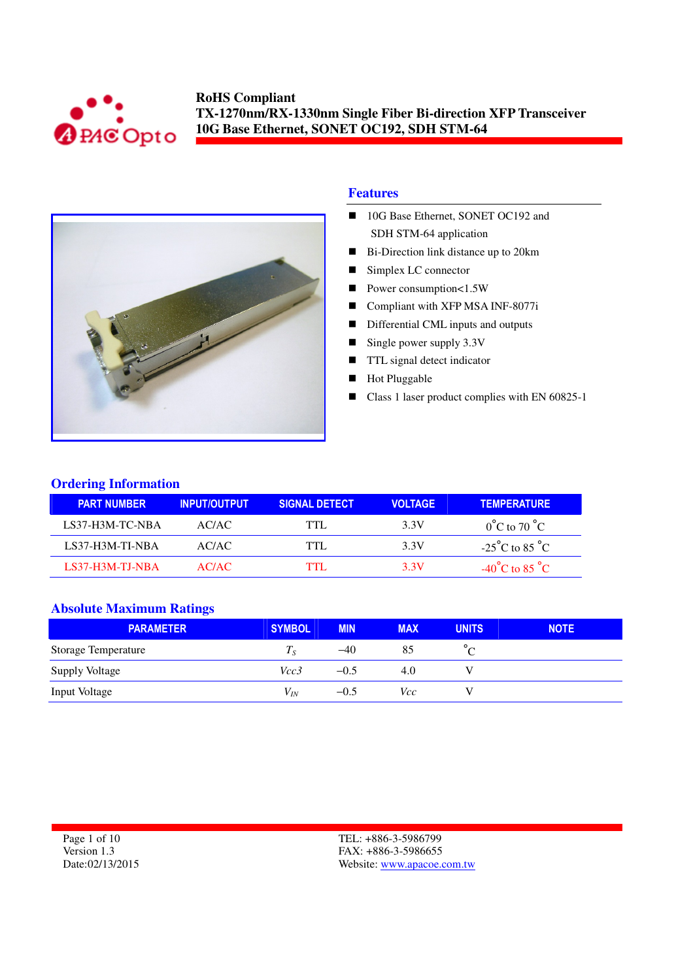



#### **Features**

- 10G Base Ethernet, SONET OC192 and SDH STM-64 application
- Bi-Direction link distance up to 20km
- Simplex LC connector
- Power consumption<1.5W
- Compliant with XFP MSA INF-8077i
- Differential CML inputs and outputs
- Single power supply  $3.3V$
- **TTL** signal detect indicator
- Hot Pluggable
- Class 1 laser product complies with EN 60825-1

#### **Ordering Information**

| <b>PART NUMBER</b> | <b>INPUT/OUTPUT</b> | <b>SIGNAL DETECT</b> | <b>VOLTAGE</b> | <b>TEMPERATURE</b>                 |
|--------------------|---------------------|----------------------|----------------|------------------------------------|
| LS37-H3M-TC-NBA    | AC/AC               | TTL.                 | 3.3V           | $0^{\circ}$ C to 70 $^{\circ}$ C   |
| LS37-H3M-TI-NBA    | AC/AC               | TTI.                 | 3.3V           | $-25^{\circ}$ C to 85 $^{\circ}$ C |
| $LS37-H3M-TJ-NBA$  | AC/AC               | TTI.                 | 3.3V           | $-40^{\circ}$ C to 85 $^{\circ}$ C |

#### **Absolute Maximum Ratings**

| <b>PARAMETER</b>           | <b>SYMBOL</b> | <b>MIN</b> | <b>MAX</b> | <b>UNITS</b> | <b>NOTE</b> |
|----------------------------|---------------|------------|------------|--------------|-------------|
| <b>Storage Temperature</b> | $I_{S}$       | $-40$      | 85         |              |             |
| <b>Supply Voltage</b>      | Vcc3          | $-0.5$     | 4.0        |              |             |
| <b>Input Voltage</b>       | $V_{IN}$      | $-0.5$     | Vcc        |              |             |

Page 1 of 10 Version 1.3 Date:02/13/2015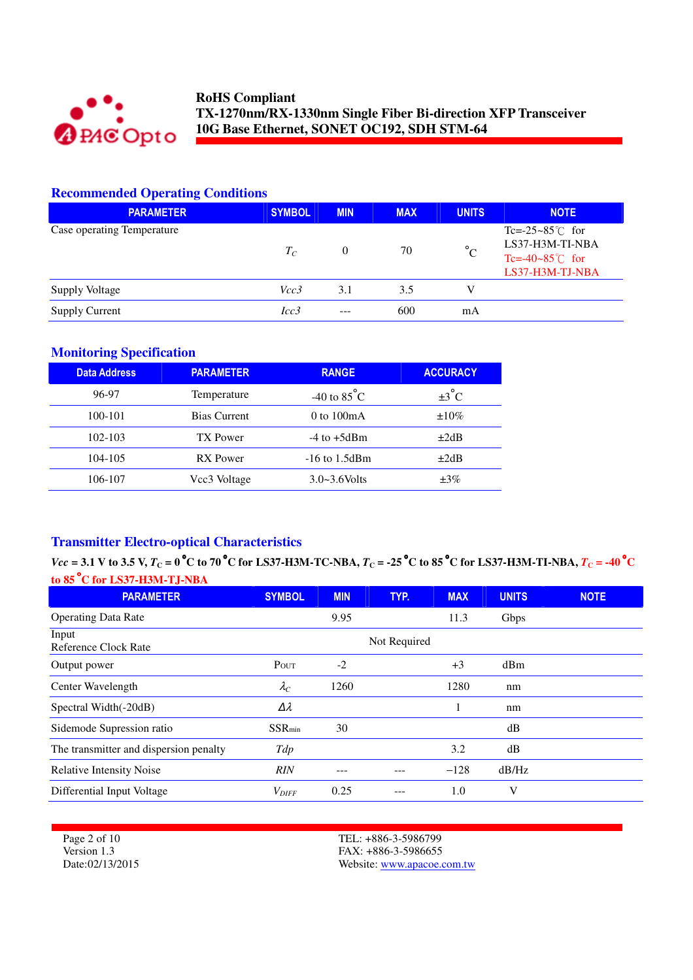

# **Recommended Operating Conditions**

| <b>PARAMETER</b>           | <b>SYMBOL</b> | <b>MIN</b>     | <b>MAX</b> | <b>UNITS</b> | <b>NOTE</b>                                                                                  |
|----------------------------|---------------|----------------|------------|--------------|----------------------------------------------------------------------------------------------|
| Case operating Temperature | $T_C$         | $\overline{0}$ | 70         | $^{\circ}$ C | Tc=-25~85 $\degree$ C for<br>LS37-H3M-TI-NBA<br>Tc=-40~85 $\degree$ C for<br>LS37-H3M-TJ-NBA |
| <b>Supply Voltage</b>      | Vcc3          | 3.1            | 3.5        | V            |                                                                                              |
| <b>Supply Current</b>      | Icc3          | ---            | 600        | mA           |                                                                                              |

#### **Monitoring Specification**

| <b>Data Address</b> | <b>PARAMETER</b>    | <b>RANGE</b>          | <b>ACCURACY</b>   |
|---------------------|---------------------|-----------------------|-------------------|
| 96-97               | Temperature         | -40 to $85^{\circ}$ C | $\pm 3^{\circ}$ C |
| 100-101             | <b>Bias Current</b> | $0$ to $100mA$        | $\pm 10\%$        |
| $102 - 103$         | TX Power            | $-4$ to $+5$ dBm      | $\pm 2dB$         |
| 104-105             | <b>RX</b> Power     | $-16$ to $1.5$ dBm    | $\pm 2dB$         |
| 106-107             | Vcc3 Voltage        | $3.0 - 3.6$ Volts     | $\pm 3\%$         |

# **Transmitter Electro-optical Characteristics**

 $Vec = 3.1$  V to 3.5 V,  $T_C = 0$ °C to 70 °C for LS37-H3M-TC-NBA,  $T_C = -25$ °C to 85 °C for LS37-H3M-TI-NBA,  $T_C = -40$ °C **to 85** °**C for LS37-H3M-TJ-NBA** 

| <b>PARAMETER</b>                       | <b>SYMBOL</b>  | <b>MIN</b> | TYP.         | <b>MAX</b> | <b>UNITS</b> | <b>NOTE</b> |
|----------------------------------------|----------------|------------|--------------|------------|--------------|-------------|
| <b>Operating Data Rate</b>             |                | 9.95       |              | 11.3       | Gbps         |             |
| Input<br>Reference Clock Rate          |                |            | Not Required |            |              |             |
| Output power                           | POUT           | $-2$       |              | $+3$       | dBm          |             |
| Center Wavelength                      | $\lambda_C$    | 1260       |              | 1280       | nm           |             |
| Spectral Width(-20dB)                  | Δλ             |            |              |            | nm           |             |
| Sidemode Supression ratio              | <b>SSR</b> min | 30         |              |            | dB           |             |
| The transmitter and dispersion penalty | Tdp            |            |              | 3.2        | dB           |             |
| <b>Relative Intensity Noise</b>        | <b>RIN</b>     |            |              | $-128$     | dB/Hz        |             |
| Differential Input Voltage             | $V_{DIFF}$     | 0.25       |              | 1.0        | V            |             |

Page 2 of 10 Version 1.3 Date:02/13/2015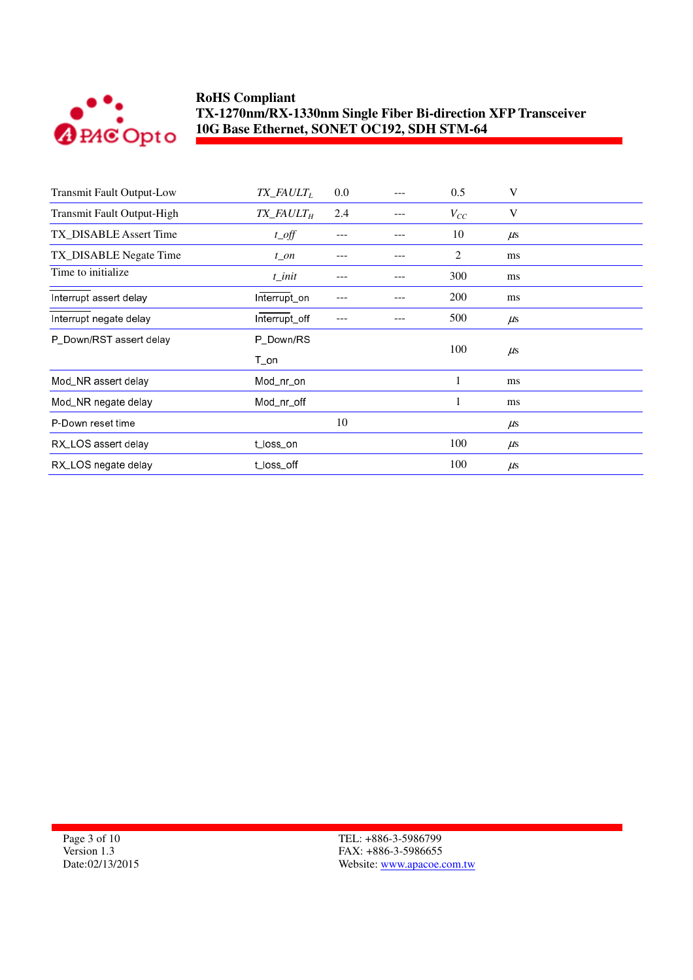

| <b>Transmit Fault Output-Low</b> | $TX$ <sub>_FAULT<sub>L</sub></sub> | 0.0 | 0.5            | V       |
|----------------------------------|------------------------------------|-----|----------------|---------|
| Transmit Fault Output-High       | $TX$ <sub>_FAULT<sub>H</sub></sub> | 2.4 | $V_{CC}$       | V       |
| TX_DISABLE Assert Time           | $t$ <sub><math>0</math></sub> $ff$ |     | 10             | $\mu$ s |
| TX_DISABLE Negate Time           | $t$ on                             |     | $\overline{c}$ | ms      |
| Time to initialize               | $t$ _init                          |     | 300            | ms      |
| Interrupt assert delay           | Interrupt_on                       |     | 200            | ms      |
| Interrupt negate delay           | Interrupt_off                      |     | 500            | $\mu$ s |
| P_Down/RST assert delay          | P_Down/RS                          |     |                |         |
|                                  | $T\_on$                            |     | 100            | $\mu$ s |
| Mod_NR assert delay              | Mod nr on                          |     | 1              | ms      |
| Mod_NR negate delay              | Mod_nr_off                         |     | 1              | ms      |
| P-Down reset time                |                                    | 10  |                | $\mu$ s |
| RX_LOS assert delay              | t_loss_on                          |     | 100            | $\mu$ s |
| RX_LOS negate delay              | t loss off                         |     | 100            | $\mu$ s |

Page 3 of 10 Version 1.3 Date:02/13/2015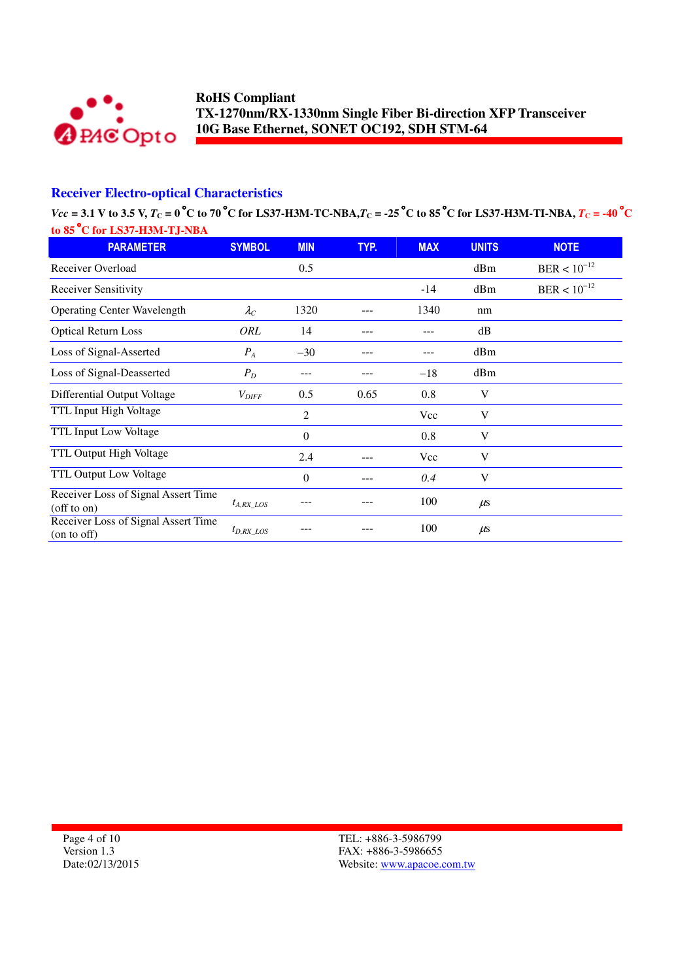

## **Receiver Electro-optical Characteristics**

 $Vec = 3.1$  V to 3.5 V,  $T_C = 0$  °C to 70 °C for LS37-H3M-TC-NBA,  $T_C = -25$  °C to 85 °C for LS37-H3M-TI-NBA,  $T_C = -40$  °C

| to 85 °C for LS37-H3M-TJ-NBA                             |                   |                |      |            |              |                  |
|----------------------------------------------------------|-------------------|----------------|------|------------|--------------|------------------|
| <b>PARAMETER</b>                                         | <b>SYMBOL</b>     | <b>MIN</b>     | TYP. | <b>MAX</b> | <b>UNITS</b> | <b>NOTE</b>      |
| Receiver Overload                                        |                   | 0.5            |      |            | dBm          | $BER < 10^{-12}$ |
| <b>Receiver Sensitivity</b>                              |                   |                |      | $-14$      | dBm          | $BER < 10^{-12}$ |
| <b>Operating Center Wavelength</b>                       | $\lambda_C$       | 1320           |      | 1340       | nm           |                  |
| <b>Optical Return Loss</b>                               | ORL               | 14             |      |            | dB           |                  |
| Loss of Signal-Asserted                                  | $P_{A}$           | $-30$          |      |            | dBm          |                  |
| Loss of Signal-Deasserted                                | $P_D$             | ---            |      | $-18$      | dBm          |                  |
| Differential Output Voltage                              | $V_{\text{DIFF}}$ | 0.5            | 0.65 | 0.8        | V            |                  |
| TTL Input High Voltage                                   |                   | $\overline{c}$ |      | Vcc        | V            |                  |
| TTL Input Low Voltage                                    |                   | $\Omega$       |      | 0.8        | V            |                  |
| TTL Output High Voltage                                  |                   | 2.4            |      | Vcc        | V            |                  |
| TTL Output Low Voltage                                   |                   | $\theta$       | ---  | 0.4        | V            |                  |
| Receiver Loss of Signal Assert Time<br>$($ off to on $)$ | $t_{A, RX\_LOS}$  |                |      | 100        | $\mu$ s      |                  |
| Receiver Loss of Signal Assert Time<br>(on to off)       | $t_{D,RX\_LOS}$   |                |      | 100        | $\mu$ s      |                  |

Page 4 of 10 Version 1.3 Date:02/13/2015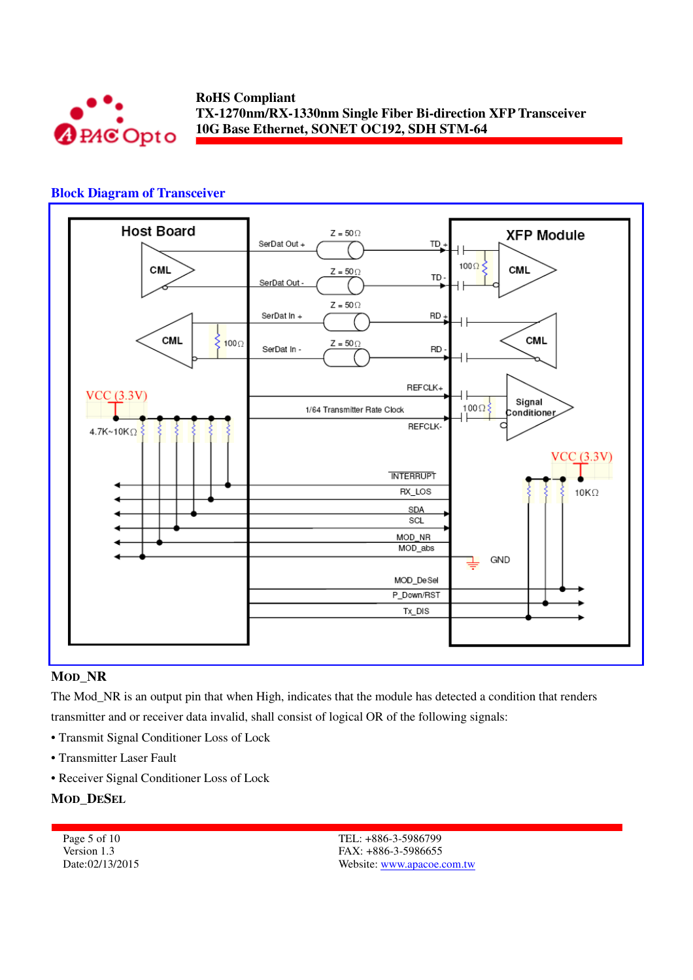

#### **Block Diagram of Transceiver**



#### **MOD\_NR**

The Mod\_NR is an output pin that when High, indicates that the module has detected a condition that renders transmitter and or receiver data invalid, shall consist of logical OR of the following signals:

- Transmit Signal Conditioner Loss of Lock
- Transmitter Laser Fault
- Receiver Signal Conditioner Loss of Lock

#### **MOD\_DESEL**

| Page 5 of 10    |
|-----------------|
| Version 1.3     |
| Date:02/13/2015 |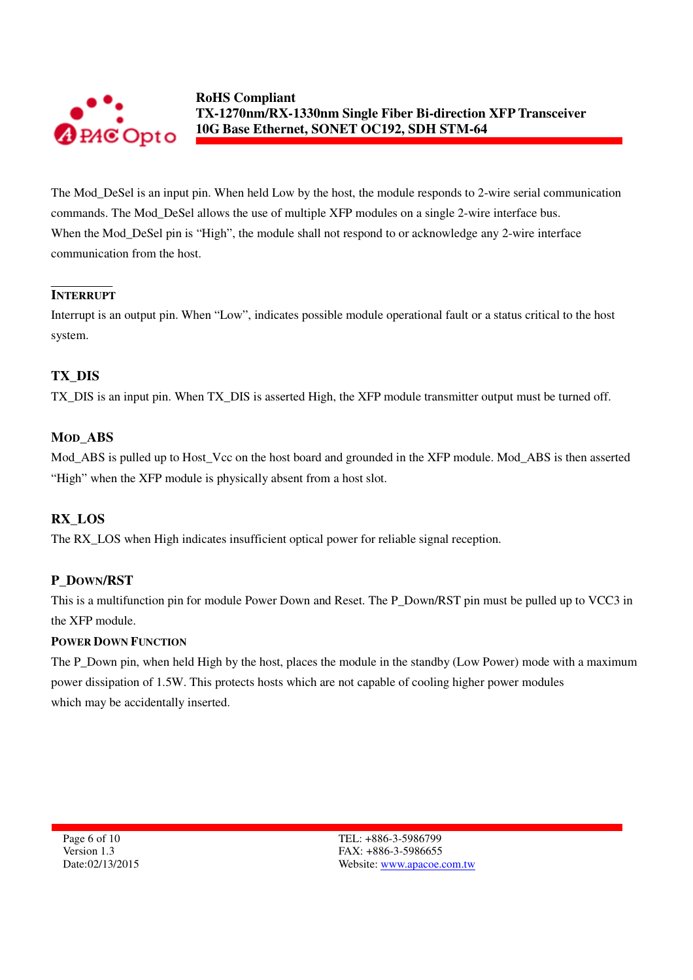

The Mod\_DeSel is an input pin. When held Low by the host, the module responds to 2-wire serial communication commands. The Mod\_DeSel allows the use of multiple XFP modules on a single 2-wire interface bus. When the Mod\_DeSel pin is "High", the module shall not respond to or acknowledge any 2-wire interface communication from the host.

### **INTERRUPT**

Interrupt is an output pin. When "Low", indicates possible module operational fault or a status critical to the host system.

### **TX\_DIS**

TX\_DIS is an input pin. When TX\_DIS is asserted High, the XFP module transmitter output must be turned off.

#### **MOD\_ABS**

Mod ABS is pulled up to Host Vcc on the host board and grounded in the XFP module. Mod ABS is then asserted "High" when the XFP module is physically absent from a host slot.

### **RX\_LOS**

The RX\_LOS when High indicates insufficient optical power for reliable signal reception.

#### **P\_DOWN/RST**

This is a multifunction pin for module Power Down and Reset. The P\_Down/RST pin must be pulled up to VCC3 in the XFP module.

#### **POWER DOWN FUNCTION**

The P\_Down pin, when held High by the host, places the module in the standby (Low Power) mode with a maximum power dissipation of 1.5W. This protects hosts which are not capable of cooling higher power modules which may be accidentally inserted.

Page 6 of 10 Version 1.3 Date:02/13/2015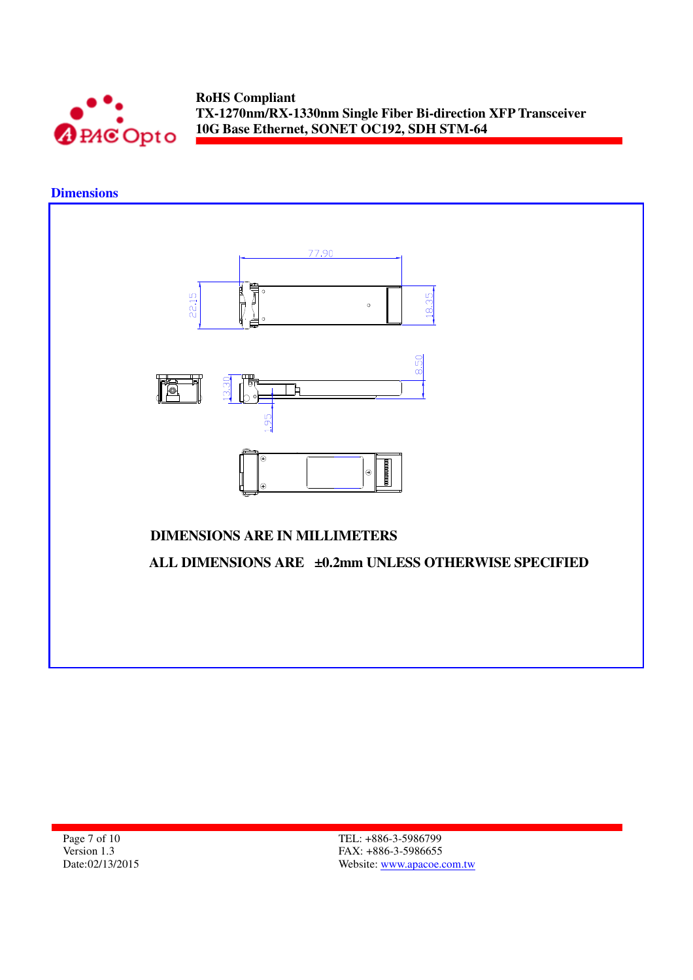

# **Dimensions**



Page 7 of 10 Version 1.3 Date:02/13/2015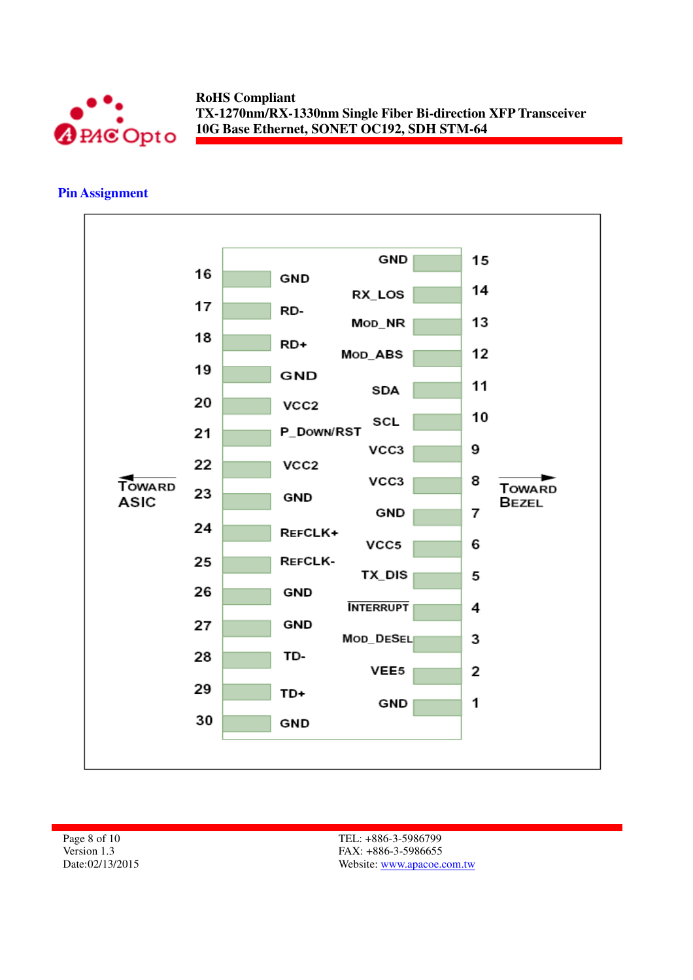

#### **Pin Assignment**



Page 8 of 10 Version 1.3 Date:02/13/2015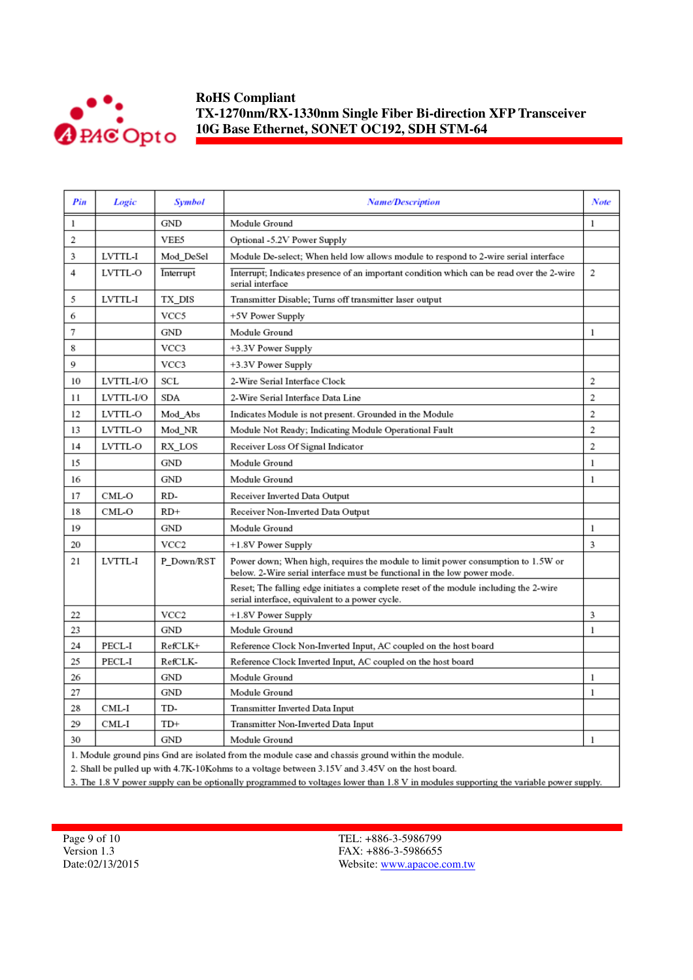

| Pin | Logic                                                                                             | <b>Symbol</b>    | <b>Name/Description</b>                                                                                                                                      | Note           |  |  |  |  |  |
|-----|---------------------------------------------------------------------------------------------------|------------------|--------------------------------------------------------------------------------------------------------------------------------------------------------------|----------------|--|--|--|--|--|
| 1   |                                                                                                   | GND              | Module Ground                                                                                                                                                | 1              |  |  |  |  |  |
| 2   |                                                                                                   | VEE5             | Optional -5.2V Power Supply                                                                                                                                  |                |  |  |  |  |  |
| 3   | LVTTL-I                                                                                           | Mod DeSel        | Module De-select; When held low allows module to respond to 2-wire serial interface                                                                          |                |  |  |  |  |  |
| 4   | LVTTL-O                                                                                           | Interrupt        | Interrupt; Indicates presence of an important condition which can be read over the 2-wire<br>serial interface                                                | 2              |  |  |  |  |  |
| 5   | LVTTL-I                                                                                           | TX DIS           | Transmitter Disable; Turns off transmitter laser output                                                                                                      |                |  |  |  |  |  |
| 6   |                                                                                                   | VCC5             | +5V Power Supply                                                                                                                                             |                |  |  |  |  |  |
| 7   |                                                                                                   | GND              | Module Ground                                                                                                                                                | 1              |  |  |  |  |  |
| 8   |                                                                                                   | VCC3             | +3.3V Power Supply                                                                                                                                           |                |  |  |  |  |  |
| 9   |                                                                                                   | VCC3             | +3.3V Power Supply                                                                                                                                           |                |  |  |  |  |  |
| 10  | LVTTL-I/O                                                                                         | SCL              | 2-Wire Serial Interface Clock                                                                                                                                | 2              |  |  |  |  |  |
| 11  | LVTTL-I/O                                                                                         | SDA              | 2-Wire Serial Interface Data Line                                                                                                                            | $\overline{2}$ |  |  |  |  |  |
| 12  | LVTTL-O                                                                                           | Mod_Abs          | Indicates Module is not present. Grounded in the Module                                                                                                      | 2              |  |  |  |  |  |
| 13  | LVTTL-O                                                                                           | Mod NR           | Module Not Ready; Indicating Module Operational Fault                                                                                                        | 2              |  |  |  |  |  |
| 14  | LVTTL-O                                                                                           | RX LOS           | Receiver Loss Of Signal Indicator                                                                                                                            | 2              |  |  |  |  |  |
| 15  |                                                                                                   | GND              | Module Ground                                                                                                                                                | 1              |  |  |  |  |  |
| 16  |                                                                                                   | GND              | Module Ground                                                                                                                                                | 1              |  |  |  |  |  |
| 17  | CML-O                                                                                             | RD-              | Receiver Inverted Data Output                                                                                                                                |                |  |  |  |  |  |
| 18  | CML-O                                                                                             | $RD+$            | Receiver Non-Inverted Data Output                                                                                                                            |                |  |  |  |  |  |
| 19  |                                                                                                   | GND              | Module Ground                                                                                                                                                | 1              |  |  |  |  |  |
| 20  |                                                                                                   | VCC <sub>2</sub> | +1.8V Power Supply                                                                                                                                           | 3              |  |  |  |  |  |
| 21  | LVTTL-I                                                                                           | P Down/RST       | Power down; When high, requires the module to limit power consumption to 1.5W or<br>below. 2-Wire serial interface must be functional in the low power mode. |                |  |  |  |  |  |
|     |                                                                                                   |                  | Reset; The falling edge initiates a complete reset of the module including the 2-wire<br>serial interface, equivalent to a power cycle.                      |                |  |  |  |  |  |
| 22  |                                                                                                   | VCC <sub>2</sub> | +1.8V Power Supply                                                                                                                                           | 3              |  |  |  |  |  |
| 23  |                                                                                                   | GND              | Module Ground                                                                                                                                                | 1              |  |  |  |  |  |
| 24  | PECL-I                                                                                            | RefCLK+          | Reference Clock Non-Inverted Input, AC coupled on the host board                                                                                             |                |  |  |  |  |  |
| 25  | PECL-I                                                                                            | RefCLK-          | Reference Clock Inverted Input, AC coupled on the host board                                                                                                 |                |  |  |  |  |  |
| 26  |                                                                                                   | <b>GND</b>       | Module Ground                                                                                                                                                | $\mathbf{1}$   |  |  |  |  |  |
| 27  |                                                                                                   | GND              | Module Ground                                                                                                                                                | 1              |  |  |  |  |  |
| 28  | CML-I                                                                                             | TD-              | Transmitter Inverted Data Input                                                                                                                              |                |  |  |  |  |  |
| 29  | CML-I                                                                                             | TD+              | Transmitter Non-Inverted Data Input                                                                                                                          |                |  |  |  |  |  |
| 30  |                                                                                                   | GND              | Module Ground                                                                                                                                                | 1              |  |  |  |  |  |
|     | 1. Module ground pins Gnd are isolated from the module case and chassis ground within the module. |                  |                                                                                                                                                              |                |  |  |  |  |  |

2. Shall be pulled up with 4.7K-10Kohms to a voltage between 3.15V and 3.45V on the host board.

3. The 1.8 V power supply can be optionally programmed to voltages lower than 1.8 V in modules supporting the variable power supply.

Page 9 of 10 Version 1.3 Date:02/13/2015